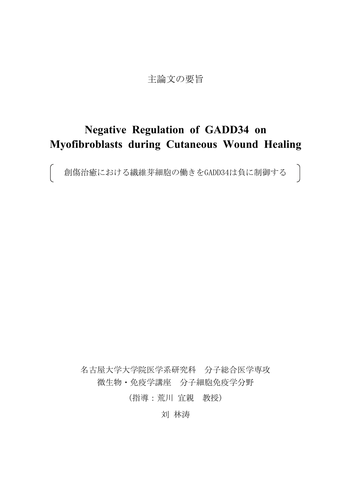# 主論文の要旨

# **Negative Regulation of GADD34 on Myofibroblasts during Cutaneous Wound Healing**

創傷治癒における繊維芽細胞の働きをGADD34は負に制御する

名古屋大学大学院医学系研究科 分子総合医学専攻 微生物・免疫学講座 分子細胞免疫学分野

(指導:荒川 宜親 教授)

刘 林涛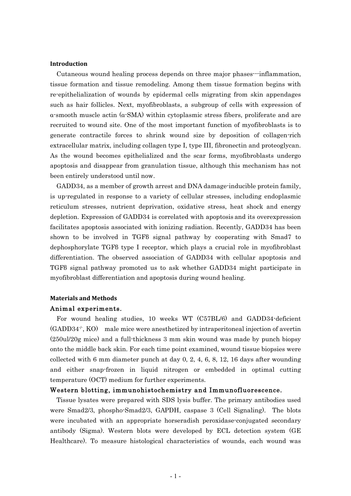# **Introduction**

Cutaneous wound healing process depends on three major phases---inflammation, tissue formation and tissue remodeling. Among them tissue formation begins with re-epithelialization of wounds by epidermal cells migrating from skin appendages such as hair follicles. Next, myofibroblasts, a subgroup of cells with expression of α-smooth muscle actin (α-SMA) within cytoplasmic stress fibers, proliferate and are recruited to wound site. One of the most important function of myofibroblasts is to generate contractile forces to shrink wound size by deposition of collagen-rich extracellular matrix, including collagen type I, type III, fibronectin and proteoglycan. As the wound becomes epithelialized and the scar forms, myofibroblasts undergo apoptosis and disappear from granulation tissue, although this mechanism has not been entirely understood until now.

GADD34, as a member of growth arrest and DNA damage-inducible protein family, is up-regulated in response to a variety of cellular stresses, including endoplasmic reticulum stresses, nutrient deprivation, oxidative stress, heat shock and energy depletion. Expression of GADD34 is correlated with apoptosis and its overexpression facilitates apoptosis associated with ionizing radiation. Recently, GADD34 has been shown to be involved in TGFβ signal pathway by cooperating with Smad7 to dephosphorylate TGFβ type I receptor, which plays a crucial role in myofibroblast differentiation. The observed association of GADD34 with cellular apoptosis and TGFβ signal pathway promoted us to ask whether GADD34 might participate in myofibroblast differentiation and apoptosis during wound healing.

# **Materials and Methods**

# Animal experiments.

For wound healing studies, 10 weeks WT (C57BL/6) and GADD34-deficient  $(GADD34^{\prime\prime}, KO)$  male mice were anesthetized by intraperitoneal injection of avertin (250ul/20g mice) and a full-thickness 3 mm skin wound was made by punch biopsy onto the middle back skin. For each time point examined, wound tissue biopsies were collected with 6 mm diameter punch at day 0, 2, 4, 6, 8, 12, 16 days after wounding and either snap-frozen in liquid nitrogen or embedded in optimal cutting temperature (OCT) medium for further experiments.

# Western blotting, immunohistochemistry and Immunofluorescence.

Tissue lysates were prepared with SDS lysis buffer. The primary antibodies used were Smad2/3, phospho-Smad2/3, GAPDH, caspase 3 (Cell Signaling). The blots were incubated with an appropriate horseradish peroxidase-conjugated secondary antibody (Sigma). Western blots were developed by ECL detection system (GE Healthcare). To measure histological characteristics of wounds, each wound was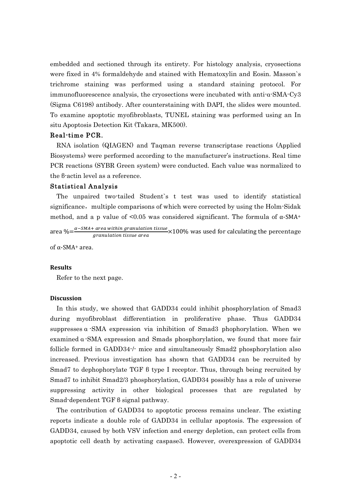embedded and sectioned through its entirety. For histology analysis, cryosections were fixed in 4% formaldehyde and stained with Hematoxylin and Eosin. Masson`s trichrome staining was performed using a standard staining protocol. For immunofluorescence analysis, the cryosections were incubated with anti-α-SMA-Cy3 (Sigma C6198) antibody. After counterstaining with DAPI, the slides were mounted. To examine apoptotic myofibroblasts, TUNEL staining was performed using an In situ Apoptosis Detection Kit (Takara, MK500).

# Real-time PCR.

RNA isolation (QIAGEN) and Taqman reverse transcriptase reactions (Applied Biosystems) were performed according to the manufacturer's instructions. Real time PCR reactions (SYBR Green system) were conducted. Each value was normalized to the β-actin level as a reference.

## Statistical Analysis

The unpaired two-tailed Student`s t test was used to identify statistical significance, multiple comparisons of which were corrected by using the Holm-Sidak method, and a p value of  $\leq 0.05$  was considered significant. The formula of  $\alpha$ -SMA+

area % $=\frac{\alpha-SMA+ \text{ area within granulation tissue}}{\text{ granulation tissue area}} \times 100\%$  was used for calculating the percentage

of α-SMA+ area.

### **Results**

Refer to the next page.

# **Discussion**

In this study, we showed that GADD34 could inhibit phosphorylation of Smad3 during myofibroblast differentiation in proliferative phase. Thus GADD34 suppresses α -SMA expression via inhibition of Smad3 phophorylation. When we examined α -SMA expression and Smads phosphorylation, we found that more fair follicle formed in GADD34-/- mice and simultaneously Smad2 phosphorylation also increased. Previous investigation has shown that GADD34 can be recruited by Smad7 to dephophorylate TGF β type I receptor. Thus, through being recruited by Smad7 to inhibit Smad2/3 phosphorylation, GADD34 possibly has a role of universe suppressing activity in other biological processes that are regulated by Smad-dependent TGF β signal pathway.

The contribution of GADD34 to apoptotic process remains unclear. The existing reports indicate a double role of GADD34 in cellular apoptosis. The expression of GADD34, caused by both VSV infection and energy depletion, can protect cells from apoptotic cell death by activating caspase3. However, overexpression of GADD34